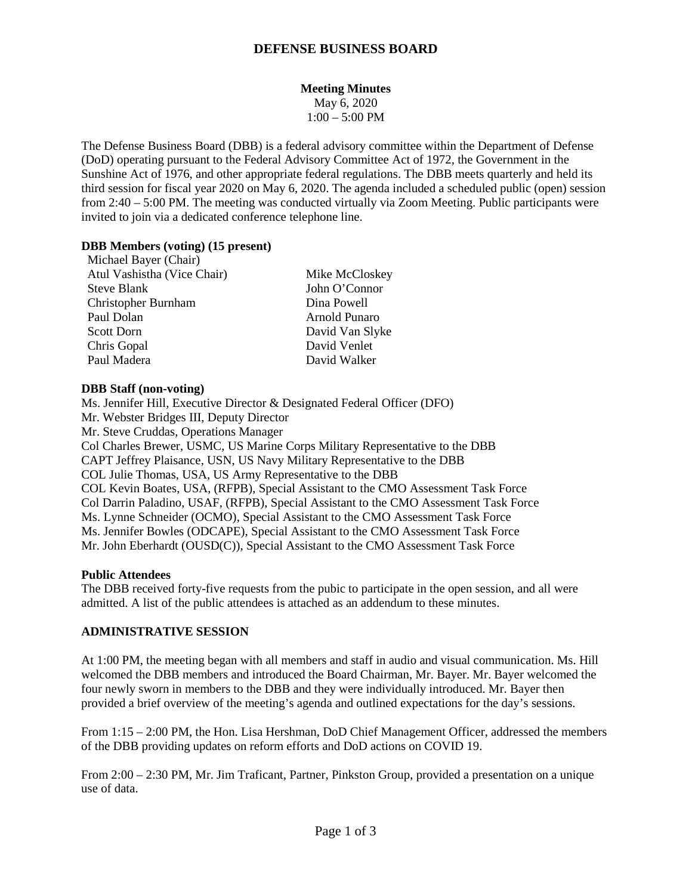## **DEFENSE BUSINESS BOARD**

## **Meeting Minutes**

May 6, 2020  $1:00 - 5:00$  PM

The Defense Business Board (DBB) is a federal advisory committee within the Department of Defense (DoD) operating pursuant to the Federal Advisory Committee Act of 1972, the Government in the Sunshine Act of 1976, and other appropriate federal regulations. The DBB meets quarterly and held its third session for fiscal year 2020 on May 6, 2020. The agenda included a scheduled public (open) session from 2:40 – 5:00 PM. The meeting was conducted virtually via Zoom Meeting. Public participants were invited to join via a dedicated conference telephone line.

#### **DBB Members (voting) (15 present)**

Michael Bayer (Chair) Atul Vashistha (Vice Chair) Mike McCloskey Steve Blank John O'Connor Christopher Burnham Dina Powell Paul Dolan Arnold Punaro Scott Dorn David Van Slyke Chris Gopal David Venlet Paul Madera David Walker

#### **DBB Staff (non-voting)**

Ms. Jennifer Hill, Executive Director & Designated Federal Officer (DFO) Mr. Webster Bridges III, Deputy Director Mr. Steve Cruddas, Operations Manager Col Charles Brewer, USMC, US Marine Corps Military Representative to the DBB CAPT Jeffrey Plaisance, USN, US Navy Military Representative to the DBB COL Julie Thomas, USA, US Army Representative to the DBB COL Kevin Boates, USA, (RFPB), Special Assistant to the CMO Assessment Task Force Col Darrin Paladino, USAF, (RFPB), Special Assistant to the CMO Assessment Task Force Ms. Lynne Schneider (OCMO), Special Assistant to the CMO Assessment Task Force Ms. Jennifer Bowles (ODCAPE), Special Assistant to the CMO Assessment Task Force Mr. John Eberhardt (OUSD(C)), Special Assistant to the CMO Assessment Task Force

#### **Public Attendees**

The DBB received forty-five requests from the pubic to participate in the open session, and all were admitted. A list of the public attendees is attached as an addendum to these minutes.

### **ADMINISTRATIVE SESSION**

At 1:00 PM, the meeting began with all members and staff in audio and visual communication. Ms. Hill welcomed the DBB members and introduced the Board Chairman, Mr. Bayer. Mr. Bayer welcomed the four newly sworn in members to the DBB and they were individually introduced. Mr. Bayer then provided a brief overview of the meeting's agenda and outlined expectations for the day's sessions.

From 1:15 – 2:00 PM, the Hon. Lisa Hershman, DoD Chief Management Officer, addressed the members of the DBB providing updates on reform efforts and DoD actions on COVID 19.

From 2:00 – 2:30 PM, Mr. Jim Traficant, Partner, Pinkston Group, provided a presentation on a unique use of data.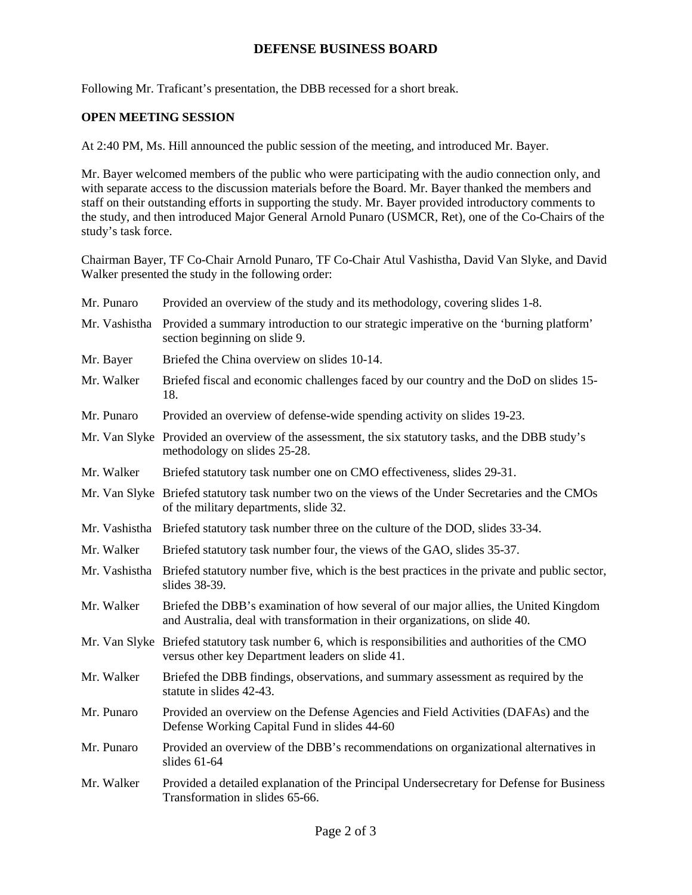# **DEFENSE BUSINESS BOARD**

Following Mr. Traficant's presentation, the DBB recessed for a short break.

### **OPEN MEETING SESSION**

At 2:40 PM, Ms. Hill announced the public session of the meeting, and introduced Mr. Bayer.

Mr. Bayer welcomed members of the public who were participating with the audio connection only, and with separate access to the discussion materials before the Board. Mr. Bayer thanked the members and staff on their outstanding efforts in supporting the study. Mr. Bayer provided introductory comments to the study, and then introduced Major General Arnold Punaro (USMCR, Ret), one of the Co-Chairs of the study's task force.

Chairman Bayer, TF Co-Chair Arnold Punaro, TF Co-Chair Atul Vashistha, David Van Slyke, and David Walker presented the study in the following order:

| Mr. Punaro    | Provided an overview of the study and its methodology, covering slides 1-8.                                                                                          |
|---------------|----------------------------------------------------------------------------------------------------------------------------------------------------------------------|
| Mr. Vashistha | Provided a summary introduction to our strategic imperative on the 'burning platform'<br>section beginning on slide 9.                                               |
| Mr. Bayer     | Briefed the China overview on slides 10-14.                                                                                                                          |
| Mr. Walker    | Briefed fiscal and economic challenges faced by our country and the DoD on slides 15-<br>18.                                                                         |
| Mr. Punaro    | Provided an overview of defense-wide spending activity on slides 19-23.                                                                                              |
|               | Mr. Van Slyke Provided an overview of the assessment, the six statutory tasks, and the DBB study's<br>methodology on slides 25-28.                                   |
| Mr. Walker    | Briefed statutory task number one on CMO effectiveness, slides 29-31.                                                                                                |
|               | Mr. Van Slyke Briefed statutory task number two on the views of the Under Secretaries and the CMOs<br>of the military departments, slide 32.                         |
|               | Mr. Vashistha Briefed statutory task number three on the culture of the DOD, slides 33-34.                                                                           |
| Mr. Walker    | Briefed statutory task number four, the views of the GAO, slides 35-37.                                                                                              |
| Mr. Vashistha | Briefed statutory number five, which is the best practices in the private and public sector,<br>slides 38-39.                                                        |
| Mr. Walker    | Briefed the DBB's examination of how several of our major allies, the United Kingdom<br>and Australia, deal with transformation in their organizations, on slide 40. |
|               | Mr. Van Slyke Briefed statutory task number 6, which is responsibilities and authorities of the CMO<br>versus other key Department leaders on slide 41.              |
| Mr. Walker    | Briefed the DBB findings, observations, and summary assessment as required by the<br>statute in slides 42-43.                                                        |
| Mr. Punaro    | Provided an overview on the Defense Agencies and Field Activities (DAFAs) and the<br>Defense Working Capital Fund in slides 44-60                                    |
| Mr. Punaro    | Provided an overview of the DBB's recommendations on organizational alternatives in<br>slides $61-64$                                                                |
| Mr. Walker    | Provided a detailed explanation of the Principal Undersecretary for Defense for Business<br>Transformation in slides 65-66.                                          |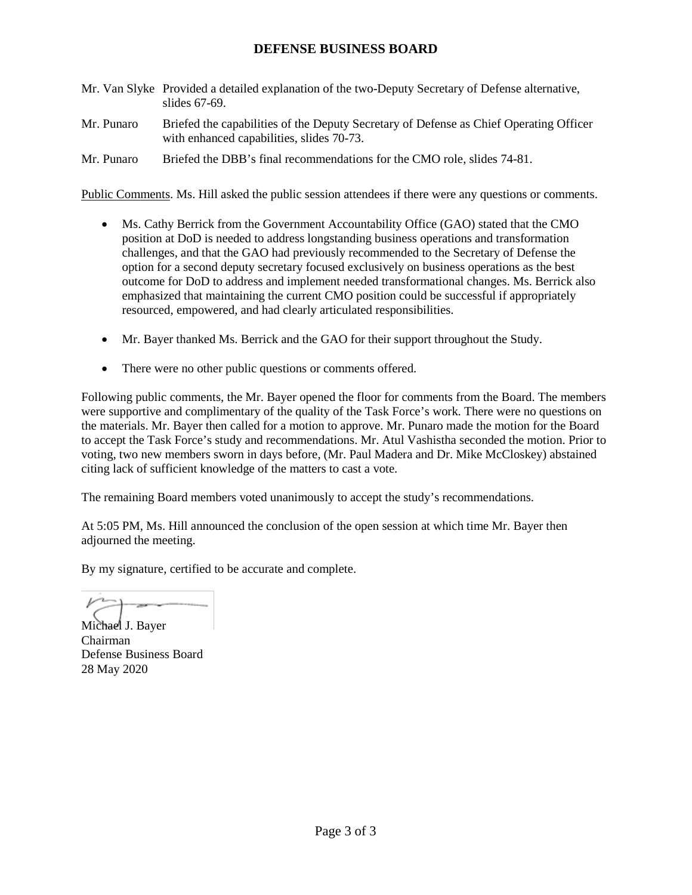# **DEFENSE BUSINESS BOARD**

- Mr. Van Slyke Provided a detailed explanation of the two-Deputy Secretary of Defense alternative, slides 67-69.
- Mr. Punaro Briefed the capabilities of the Deputy Secretary of Defense as Chief Operating Officer with enhanced capabilities, slides 70-73.
- Mr. Punaro Briefed the DBB's final recommendations for the CMO role, slides 74-81.

Public Comments. Ms. Hill asked the public session attendees if there were any questions or comments.

- Ms. Cathy Berrick from the Government Accountability Office (GAO) stated that the CMO position at DoD is needed to address longstanding business operations and transformation challenges, and that the GAO had previously recommended to the Secretary of Defense the option for a second deputy secretary focused exclusively on business operations as the best outcome for DoD to address and implement needed transformational changes. Ms. Berrick also emphasized that maintaining the current CMO position could be successful if appropriately resourced, empowered, and had clearly articulated responsibilities.
- Mr. Bayer thanked Ms. Berrick and the GAO for their support throughout the Study.
- There were no other public questions or comments offered.

Following public comments, the Mr. Bayer opened the floor for comments from the Board. The members were supportive and complimentary of the quality of the Task Force's work. There were no questions on the materials. Mr. Bayer then called for a motion to approve. Mr. Punaro made the motion for the Board to accept the Task Force's study and recommendations. Mr. Atul Vashistha seconded the motion. Prior to voting, two new members sworn in days before, (Mr. Paul Madera and Dr. Mike McCloskey) abstained citing lack of sufficient knowledge of the matters to cast a vote.

The remaining Board members voted unanimously to accept the study's recommendations.

At 5:05 PM, Ms. Hill announced the conclusion of the open session at which time Mr. Bayer then adjourned the meeting.

By my signature, certified to be accurate and complete.

Michael J. Bayer Chairman Defense Business Board 28 May 2020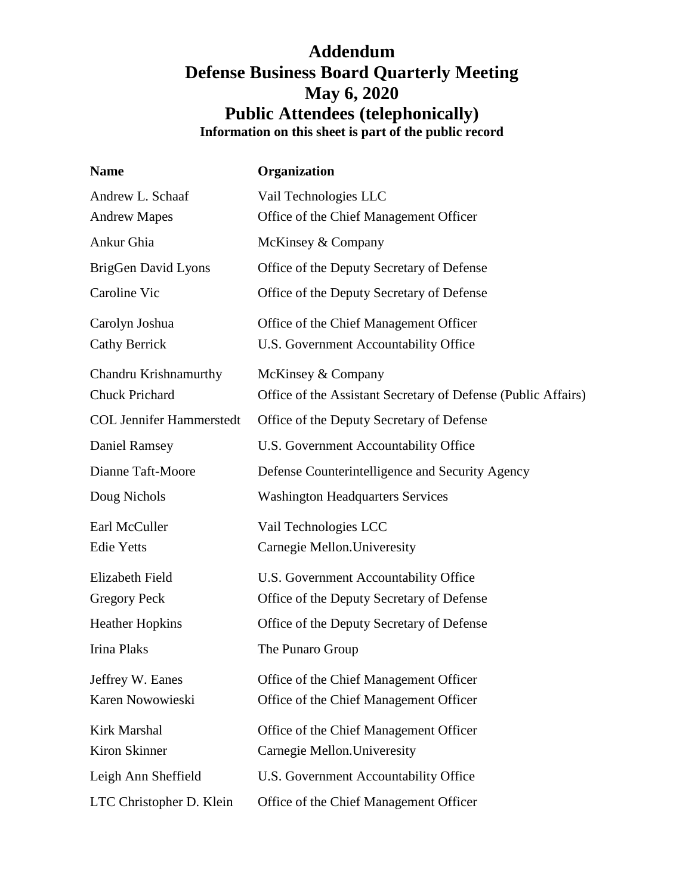# **Addendum Defense Business Board Quarterly Meeting May 6, 2020 Public Attendees (telephonically) Information on this sheet is part of the public record**

| <b>Name</b>                     | Organization                                                  |
|---------------------------------|---------------------------------------------------------------|
| Andrew L. Schaaf                | Vail Technologies LLC                                         |
| <b>Andrew Mapes</b>             | Office of the Chief Management Officer                        |
| Ankur Ghia                      | McKinsey & Company                                            |
| BrigGen David Lyons             | Office of the Deputy Secretary of Defense                     |
| Caroline Vic                    | Office of the Deputy Secretary of Defense                     |
| Carolyn Joshua                  | Office of the Chief Management Officer                        |
| <b>Cathy Berrick</b>            | U.S. Government Accountability Office                         |
| Chandru Krishnamurthy           | McKinsey & Company                                            |
| <b>Chuck Prichard</b>           | Office of the Assistant Secretary of Defense (Public Affairs) |
| <b>COL Jennifer Hammerstedt</b> | Office of the Deputy Secretary of Defense                     |
| <b>Daniel Ramsey</b>            | U.S. Government Accountability Office                         |
| Dianne Taft-Moore               | Defense Counterintelligence and Security Agency               |
| Doug Nichols                    | <b>Washington Headquarters Services</b>                       |
| Earl McCuller                   | Vail Technologies LCC                                         |
| <b>Edie Yetts</b>               | Carnegie Mellon. Univeresity                                  |
| Elizabeth Field                 | U.S. Government Accountability Office                         |
| <b>Gregory Peck</b>             | Office of the Deputy Secretary of Defense                     |
| <b>Heather Hopkins</b>          | Office of the Deputy Secretary of Defense                     |
| <b>Irina Plaks</b>              | The Punaro Group                                              |
| Jeffrey W. Eanes                | Office of the Chief Management Officer                        |
| Karen Nowowieski                | Office of the Chief Management Officer                        |
| Kirk Marshal                    | Office of the Chief Management Officer                        |
| Kiron Skinner                   | Carnegie Mellon. Univeresity                                  |
| Leigh Ann Sheffield             | U.S. Government Accountability Office                         |
| LTC Christopher D. Klein        | Office of the Chief Management Officer                        |